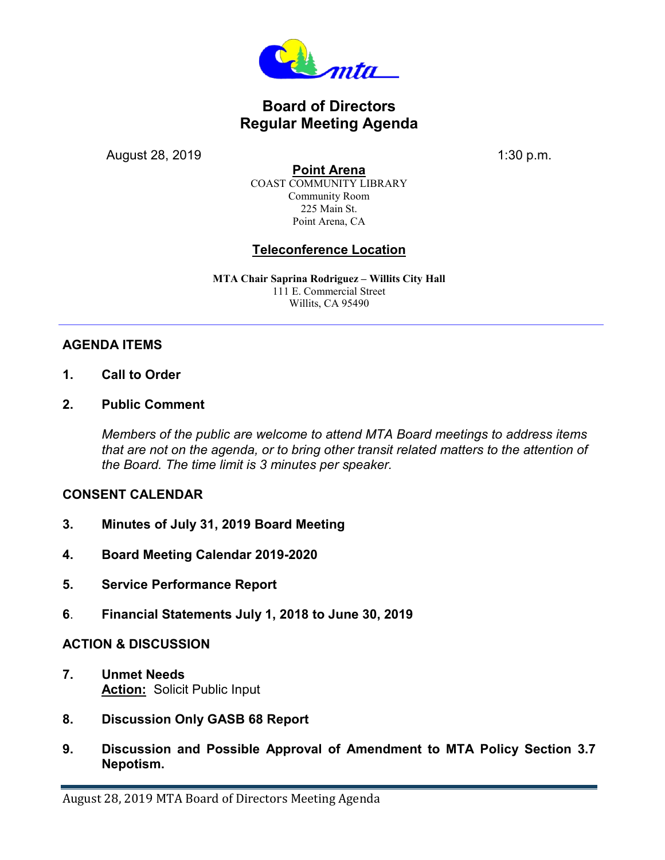

# **Board of Directors Regular Meeting Agenda**

August 28, 2019 **1:30 p.m.** 

**Point Arena** COAST COMMUNITY LIBRARY Community Room 225 Main St. Point Arena, CA

## **Teleconference Location**

**MTA Chair Saprina Rodriguez – Willits City Hall** 111 E. Commercial Street Willits, CA 95490

### **AGENDA ITEMS**

- **1. Call to Order**
- **2. Public Comment**

*Members of the public are welcome to attend MTA Board meetings to address items that are not on the agenda, or to bring other transit related matters to the attention of the Board. The time limit is 3 minutes per speaker.* 

#### **CONSENT CALENDAR**

- **3. Minutes of July 31, 2019 Board Meeting**
- **4. Board Meeting Calendar 2019-2020**
- **5. Service Performance Report**
- **6**. **Financial Statements July 1, 2018 to June 30, 2019**

#### **ACTION & DISCUSSION**

- **7. Unmet Needs Action:** Solicit Public Input
- **8. Discussion Only GASB 68 Report**
- **9. Discussion and Possible Approval of Amendment to MTA Policy Section 3.7 Nepotism.**